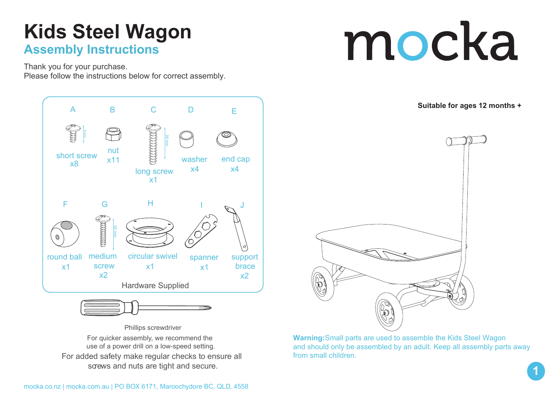### **Kids Steel Wagon Assembly Instructions**

Thank you for your purchase.

Please follow the instructions below for correct assembly.





For added safety make regular checks to ensure all screws and nuts are tight and secure. Phillips screwdriver For quicker assembly, we recommend the use of a power drill on a low-speed setting.



**Suitable for ages 12 months +**



**Warning:** Small parts are used to assemble the Kids Steel Wagon and should only be assembled by an adult. Keep all assembly parts away from small children.

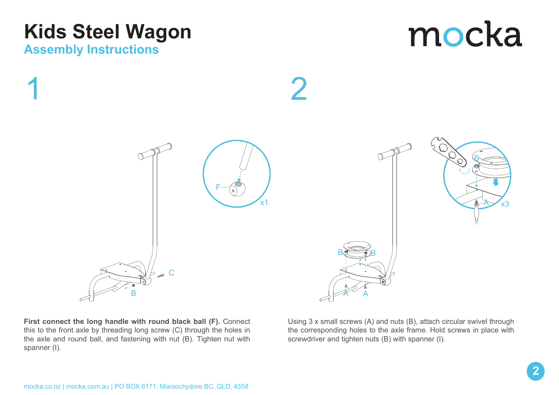## **Kids Steel Wagon**

#### **Assembly Instructions**





**First connect the long handle with round black ball (F).** Connect this to the front axle by threading long screw (C) through the holes in the axle and round ball, and fastening with nut (B). Tighten nut with spanner (I).

Using 3 x small screws (A) and nuts (B), attach circular swivel through the corresponding holes to the axle frame. Hold screws in place with screwdriver and tighten nuts (B) with spanner (I).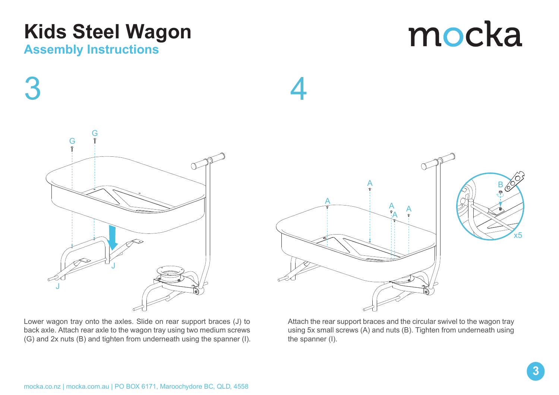# **Kids Steel Wagon**

#### **Assembly Instructions**

3





4



Lower wagon tray onto the axles. Slide on rear support braces (J) to back axle. Attach rear axle to the wagon tray using two medium screws (G) and 2x nuts (B) and tighten from underneath using the spanner (I). Attach the rear support braces and the circular swivel to the wagon tray using 5x small screws (A) and nuts (B). Tighten from underneath using the spanner (I).